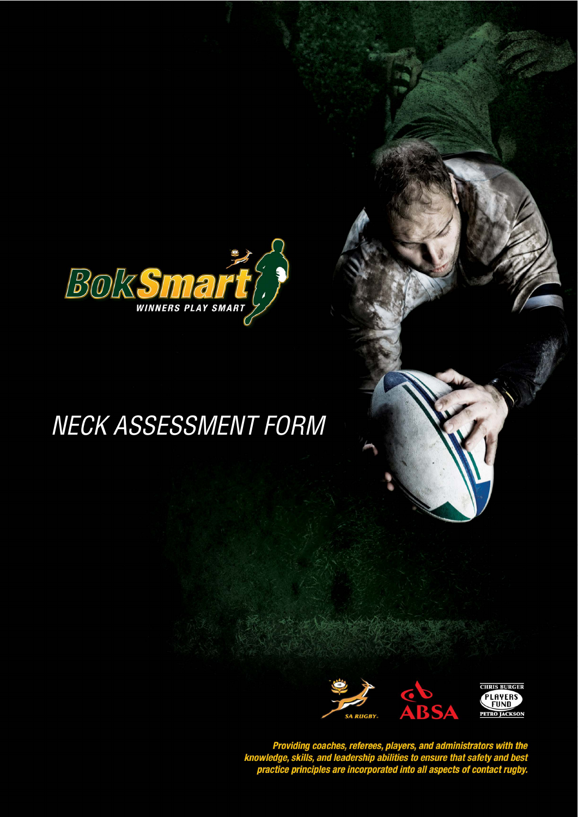

## NECK ASSESSMENT FORM



Providing coaches, referees, players, and administrators with the<br>knowledge, skills, and leadership abilities to ensure that safety and best<br>practice principles are incorporated into all aspects of contact rugby.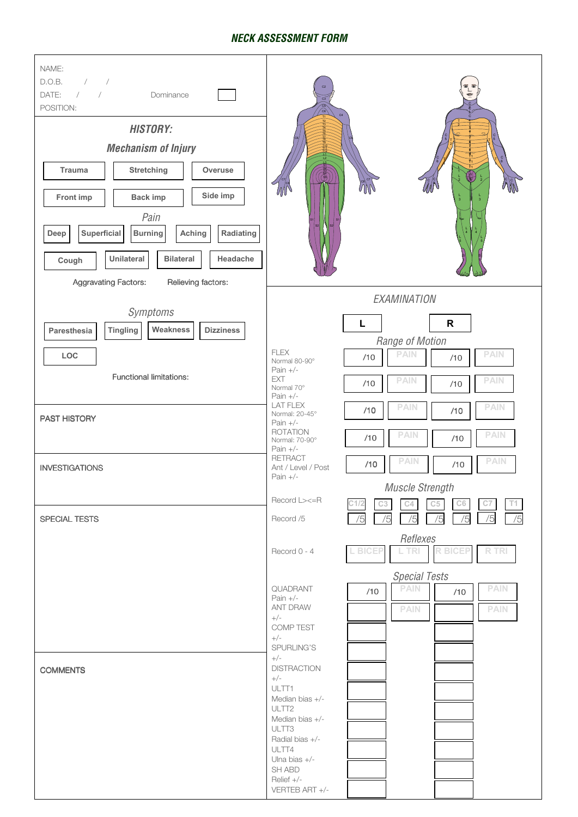## **NECK ASSESSMENT FORM**

| NAME:<br>$\frac{1}{2}$<br>D.O.B.<br>DATE:<br>$\frac{1}{2}$<br>Dominance<br>POSITION:<br><b>HISTORY:</b><br><b>Mechanism of Injury</b><br>Stretching<br><b>Trauma</b><br>Overuse<br>Side imp<br>Front imp<br><b>Back imp</b><br>Pain<br>Superficial<br>Radiating<br><b>Burning</b><br>Aching<br>Deep<br>Unilateral<br><b>Bilateral</b><br>Headache<br>Cough<br><b>Aggravating Factors:</b><br>Relieving factors: | ∕⊛                                                                                                                                                                                                                                                                                                    |
|-----------------------------------------------------------------------------------------------------------------------------------------------------------------------------------------------------------------------------------------------------------------------------------------------------------------------------------------------------------------------------------------------------------------|-------------------------------------------------------------------------------------------------------------------------------------------------------------------------------------------------------------------------------------------------------------------------------------------------------|
|                                                                                                                                                                                                                                                                                                                                                                                                                 | EXAMINATION                                                                                                                                                                                                                                                                                           |
| Symptoms<br><b>Tingling</b><br>Weakness<br><b>Dizziness</b><br>Paresthesia<br>LOC<br><b>Functional limitations:</b><br>PAST HISTORY                                                                                                                                                                                                                                                                             | $\mathsf{R}$<br>Г<br>Range of Motion<br><b>FLEX</b><br><b>PAIN</b><br><b>PAIN</b><br>/10<br>/10<br>Normal 80-90°<br>Pain $+/-$<br><b>EXT</b><br><b>PAIN</b><br><b>PAIN</b><br>/10<br>/10<br>Normal 70°<br>Pain $+/-$<br><b>LAT FLEX</b><br><b>PAIN</b><br><b>PAIN</b><br>/10<br>/10<br>Normal: 20-45° |
|                                                                                                                                                                                                                                                                                                                                                                                                                 | Pain $+/-$<br><b>ROTATION</b><br><b>PAIN</b><br><b>PAIN</b><br>/10<br>/10<br>Normal: 70-90°<br>Pain $+/-$<br><b>RETRACT</b>                                                                                                                                                                           |
| <b>INVESTIGATIONS</b>                                                                                                                                                                                                                                                                                                                                                                                           | <b>PAIN</b><br><b>PAIN</b><br>/10<br>/10<br>Ant / Level / Post<br>Pain $+/-$<br>Muscle Strength<br>Record L><=R<br>C4<br>C3<br>C5<br>C <sub>6</sub><br>C7                                                                                                                                             |
| SPECIAL TESTS                                                                                                                                                                                                                                                                                                                                                                                                   | /5<br>Record /5<br>/5<br>/5<br>/5<br>/5<br>Reflexes<br><b>R BICEP</b><br><b>RTRI</b><br>L BICEP<br>L TRI<br>Record 0 - 4<br><b>Special Tests</b><br><b>PAIN</b><br><b>PAIN</b><br>QUADRANT<br>/10<br>/10<br>Pain $+/-$<br><b>ANT DRAW</b><br><b>PAIN</b><br><b>PAIN</b><br>$+/-$                      |
|                                                                                                                                                                                                                                                                                                                                                                                                                 | COMP TEST<br>$+/-$<br>SPURLING'S<br>$+/-$                                                                                                                                                                                                                                                             |
| <b>COMMENTS</b>                                                                                                                                                                                                                                                                                                                                                                                                 | <b>DISTRACTION</b><br>$+/-$<br>ULTT1<br>Median bias +/-<br>ULTT <sub>2</sub><br>Median bias +/-<br>ULTT3<br>Radial bias +/-<br>ULTT4<br>Ulna bias +/-<br>SH ABD<br>Relief +/-<br>VERTEB ART +/-                                                                                                       |